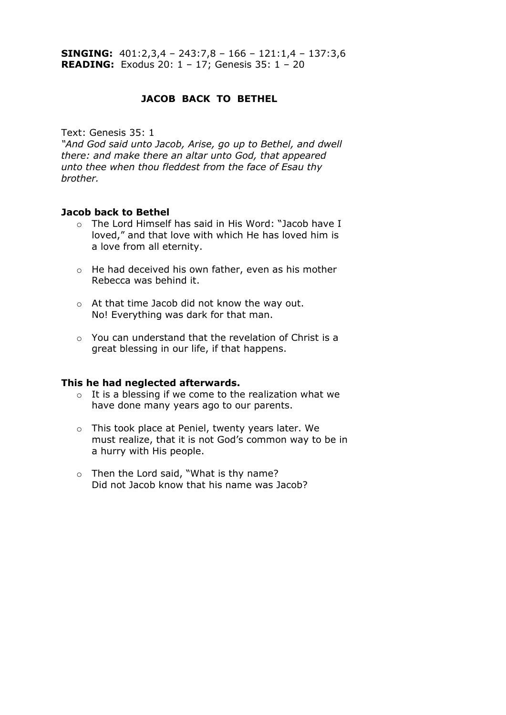# **JACOB BACK TO BETHEL**

Text: Genesis 35: 1

*"And God said unto Jacob, Arise, go up to Bethel, and dwell there: and make there an altar unto God, that appeared unto thee when thou fleddest from the face of Esau thy brother.*

### **Jacob back to Bethel**

- o The Lord Himself has said in His Word: "Jacob have I loved," and that love with which He has loved him is a love from all eternity.
- o He had deceived his own father, even as his mother Rebecca was behind it.
- o At that time Jacob did not know the way out. No! Everything was dark for that man.
- o You can understand that the revelation of Christ is a great blessing in our life, if that happens.

#### **This he had neglected afterwards.**

- $\circ$  It is a blessing if we come to the realization what we have done many years ago to our parents.
- o This took place at Peniel, twenty years later. We must realize, that it is not God's common way to be in a hurry with His people.
- o Then the Lord said, "What is thy name? Did not Jacob know that his name was Jacob?